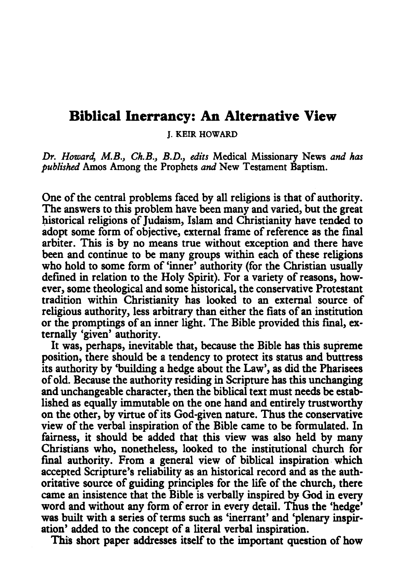## **Biblical Inerrancy: An Alternative View**

J. KEIR HOWARD

*Dr. Howard, M.B., Ch.B., B.D., edits* Medical Missionary News *and has published* Amos Among the Prophets *and* New Testament Baptism.

One of the central problems faced by all religions is that of authority. The answers to this problem have been many and varied, but the great historical religions of Judaism, Islam and Christianity have tended to adopt some form of objective, external frame of reference as the final arbiter. This is by no means true without exception and there have been and continue to be many groups within each of these religions who hold to some form of 'inner' authority (for the Christian usually defined in relation to the Holy Spirit). For a variety of reasons, however, some theological and some historical, the conservative Protestant tradition within Christianity has looked to an external source of religious authority, less arbitrary than either the fiats of an institution or the promptings of an inner light. The Bible provided this fmal, externally 'given' authority.

It was, perhaps, inevitable that, because the Bible has this supreme position, there should be a tendency to protect its status and buttress its authority by 'building a hedge about the Law', as did the Pharisees of old. Because the authority residing in Scripture has this unchanging and unchangeable character, then the biblical text must needs be established as equally immutable on the one hand and entirely trustworthy on the other, by vinue of its God-given nature. Thus the conservative view of the verbal inspiration of the Bible came to be formulated. In fairness, it should be added that this view was also held by many Christians who, nonetheless, looked to the institutional church for fmal authority. From a general view of biblical inspiration. which accepted Scripture's reliability as an historical record and as the authoritative source of guiding principles for the life of the church, there came an insistence that the Bible is verbally inspired by God in every word and without any form of error in every detail. Thus the 'hedge' was built with a series of terms such as 'inerrant' and 'plenary inspiration' added to the concept of a literal verbal inspiration.

This short paper addresses itself to the important question of how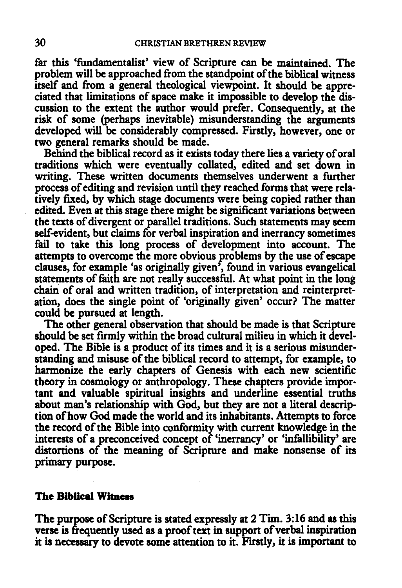far this 'fundamentalist' view of Scripture can be maintained. The problem will be approached from the standpoint of the biblical witness itself and from a general theological viewpoint. It should be appreciated that limitations of space make it impossible to develop the discussion to the extent the author would prefer. Consequently, at the risk of some (perhaps inevitable) misunderstanding the arguments developed will be considerably compressed. Firstly, however, one or two general remarks should be made.

Behind the biblical record as it exists today there lies a variety of oral traditions which were eventually collated, edited and set down in writing. These written documents themselves underwent a further process of editing and revision until they reached forms that were relatively fixed, by which stage documents were being copied rather than edited. Even at this stage there might be significant variations between the texts of divergent or parallel traditions. Such statements may seem self-evident, but claims for verbal inspiration and inerrancy sometimes fail to take this long process of devefopment into account. The attempts to overcome the more obvious problems by the use of escape clauses, for example 'as originally given', found in various evangelical statements of faith are not really successful. At what point in the long chain of oral and written tradition, of interpretation and reinterpretation, does the single point of 'originally given' occur? The matter could be pursued at length.

The other general observation that should be made is that Scripture should be set firmly within the broad cultural milieu in which it developed. The Bible is a product of its times and it is a serious misunderstanding and misuse of the biblical record to attempt, for example, to harmonize the early chapters of Genesis with each new scientific theory in cosmology or anthropology. These chapters provide important and valuable spiritual insights and underline essential truths about man's relationship with God, but they are not a literal description of how God made the world and its inhabitants. Attempts to force the record of the Bible into conformity with current knowledge in the interests of a preconceived concept of 'inerrancy' or 'infallibility' are distortions of the meaning of Scripture and make nonsense of its primary purpose.

## **The Biblical Witness**

The purpose of Scripture is stated expressly at 2 Tim. 3:16 and as this verse is frequently used as a proof text in support of verbal inspiration it is necessary to devote some attention to it. Firstly, it is important to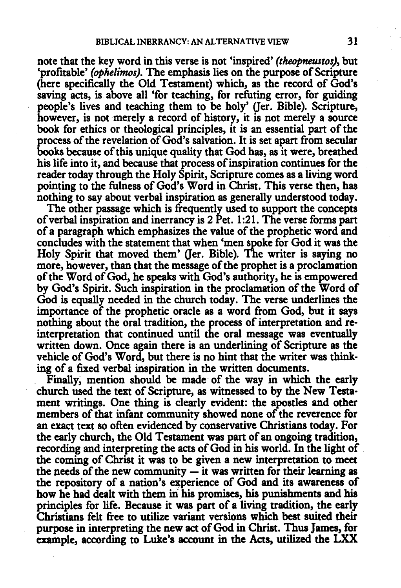note that the key word in this verse is not 'inspired' *(theopneustos),* but 'profitable' *(ophelimos).* The emphasis lies on the purpose of Scripture (here specifically the Old Testament) which, as the record of God's saving acts, is above all 'for teaching, for refuting error, for guiding people's lives and teaching them to be holy' (Jer. Bible). Scripture, however, is not merely a record of history, it is not merely a source book for ethics or theological principles, it is an essential part of the process of the revelation of God's salvation. It is set apart from secular books because of this unique quality that God has, as it were, breathed his life into it, and because that process of inspiration continues for the reader today through the Holy Spirit, Scripture comes as a living word pointing to the fulness of God's Word in Christ. This verse then, has nothing to say about verbal inspiration as generally understood today.

The other passage which is frequently used to support the concepts of verbal inspiration and inerrancy is 2 Pet. 1 :21. The verse forms part of a paragraph which emphasizes the value of the prophetic word and concludes with the statement that when 'men spoke for God it was the Holy Spirit that moved them' (Jer. Bible). The writer is saying no more, however, than that the message of the prophet is a proclamation of the Word of God, he speaks with God's authority, he is empowered by God's Spirit. Such inspiration in the proclamation of the Word of God is equally needed in the church today. The verse underlines the importance of the prophetic oracle as a word from God, but it says nothing about the oral tradition, the process of interpretation and reinterpretation that continued until the oral message was eventually written down. Once again there is an underlining of Scripture as the vehicle of God's Word, but there is no hint that the writer was thinking of a fixed verbal inspiration in the written documents.

Finally; mention should be made of the way in which the early church used the text of Scripture, as witnessed to by the New Testament writings. One thing is clearly evident: the apostles and other members of that infant community showed none of the reverence for an exact text so often evidenced by conservative Christians today. For the early church, the Old Testament was part of an ongoing tradition, recording and interpreting the acts of God in his world. In the light of the coming of Christ it was to be given a new interpretation to meet the needs of the new community  $-\mathbf{i}$  t was written for their learning as the repository of a nation's experience of God and its awareness of how he had dealt with them in his promises, his punishments and his principles for life. Because it was part of a living tradition, the early Christians felt free to utilize variant versions which best suited their purpose in interpreting the new act of God in Christ. Thus James, for example, according to Luke's account in the Acts, utilized the LXX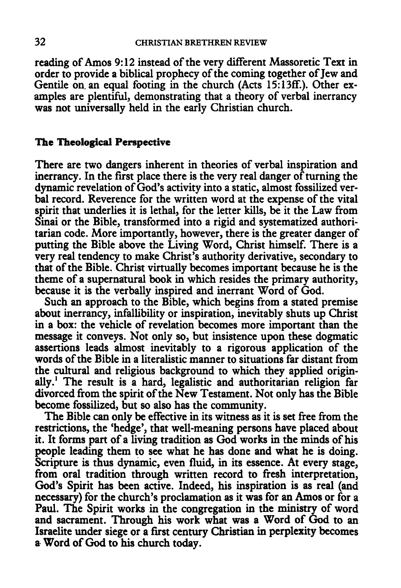reading of Amos 9:12 instead of the very different Massoretic Text in order to provide a biblical prophecy of the coming together of Jew and Gentile on an equal footing in the church (Acts 15:13ff.). Other examples are plentiful, demonstrating that a theory of verbal inerrancy was not universally held in the early Christian church.

## The Theological Perspective

There are two dangers inherent in theories of verbal inspiration and inerrancy. In the first place there is the very real danger of turning the dynamic revelation of God's activity into a static, almost fossilized verbal record. Reverence for the written word at the expense of the vital spirit that underlies it is lethal, for the letter kills, be it the Law from Sinai or the Bible, transformed into a rigid and systematized authoritarian code. More importantly, however, there is the greater danger of putting the Bible above the Living Word, Christ himself. There is a very real tendency to make Christ's authority derivative, secondary to that of the Bible. Christ virtually becomes important because he is the theme of a supernatural book in which resides the primary authority, because it is the verbally inspired and inerrant Word of God.

Such an approach to the Bible, which begins from a stated premise about inerrancy, infallibility or inspiration, inevitably shuts up Christ in a box: the vehicle of revelation becomes more important than the message it conveys. Not only so, but insistence upon these dogmatic assertions leads almost inevitably to a rigorous application of the words of the Bible in a literalistic manner to situations far distant from the cultural and religious background to which they applied originally.<sup>1</sup> The result is a hard, legalistic and authoritarian religion far divorced from the spirit of the New Testament. Not only has the Bible become fossilized, but so also has the community.

The Bible can only be effective in its witness as it is set free from the restrictions, the 'hedge', that well-meaning persons have placed about it. It forms part of a living tradition as God works in the minds of his people leading them to see what he has done and what he is doing. Scripture is thus dynamic, even fluid, in its essence. At every stage, from oral tradition through written record to fresh interpretation, God's Spirit has been active. Indeed, his inspiration is as real (and necessary) for the church's proclamation as it was for an Amos or for a Paul. The Spirit works in the congregation in the ministry of word and sacrament. Through his work what was a Word of God to an Israelite under siege or a first century Christian in perplexity becomes a- Word of God to his church today.